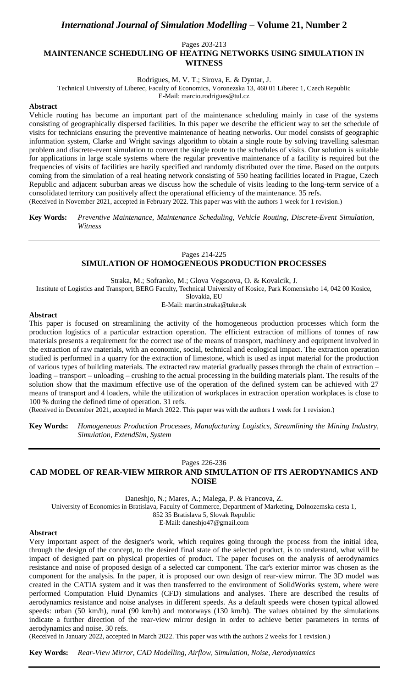# *International Journal of Simulation Modelling* **– Volume 21, Number 2**

Pages 203-213

## **MAINTENANCE SCHEDULING OF HEATING NETWORKS USING SIMULATION IN WITNESS**

Rodrigues, M. V. T.; Sirova, E. & Dyntar, J.

Technical University of Liberec, Faculty of Economics, Voronezska 13, 460 01 Liberec 1, Czech Republic

E-Mail: marcio.rodrigues@tul.cz

## **Abstract**

Vehicle routing has become an important part of the maintenance scheduling mainly in case of the systems consisting of geographically dispersed facilities. In this paper we describe the efficient way to set the schedule of visits for technicians ensuring the preventive maintenance of heating networks. Our model consists of geographic information system, Clarke and Wright savings algorithm to obtain a single route by solving travelling salesman problem and discrete-event simulation to convert the single route to the schedules of visits. Our solution is suitable for applications in large scale systems where the regular preventive maintenance of a facility is required but the frequencies of visits of facilities are hazily specified and randomly distributed over the time. Based on the outputs coming from the simulation of a real heating network consisting of 550 heating facilities located in Prague, Czech Republic and adjacent suburban areas we discuss how the schedule of visits leading to the long-term service of a consolidated territory can positively affect the operational efficiency of the maintenance. 35 refs. (Received in November 2021, accepted in February 2022. This paper was with the authors 1 week for 1 revision.)

**Key Words:** *Preventive Maintenance, Maintenance Scheduling, Vehicle Routing, Discrete-Event Simulation, Witness*

#### Pages 214-225 **SIMULATION OF HOMOGENEOUS PRODUCTION PROCESSES**

Straka, M.; Sofranko, M.; Glova Vegsoova, O. & Kovalcik, J.

Institute of Logistics and Transport, BERG Faculty, Technical University of Kosice, Park Komenskeho 14, 042 00 Kosice,

Slovakia, EU

E-Mail: martin.straka@tuke.sk

#### **Abstract**

This paper is focused on streamlining the activity of the homogeneous production processes which form the production logistics of a particular extraction operation. The efficient extraction of millions of tonnes of raw materials presents a requirement for the correct use of the means of transport, machinery and equipment involved in the extraction of raw materials, with an economic, social, technical and ecological impact. The extraction operation studied is performed in a quarry for the extraction of limestone, which is used as input material for the production of various types of building materials. The extracted raw material gradually passes through the chain of extraction – loading – transport – unloading – crushing to the actual processing in the building materials plant. The results of the solution show that the maximum effective use of the operation of the defined system can be achieved with 27 means of transport and 4 loaders, while the utilization of workplaces in extraction operation workplaces is close to 100 % during the defined time of operation. 31 refs.

(Received in December 2021, accepted in March 2022. This paper was with the authors 1 week for 1 revision.)

**Key Words:** *Homogeneous Production Processes, Manufacturing Logistics, Streamlining the Mining Industry, Simulation, ExtendSim, System*

#### Pages 226-236

# **CAD MODEL OF REAR-VIEW MIRROR AND SIMULATION OF ITS AERODYNAMICS AND NOISE**

Daneshjo, N.; Mares, A.; Malega, P. & Francova, Z.

University of Economics in Bratislava, Faculty of Commerce, Department of Marketing, Dolnozemska cesta 1,

852 35 Bratislava 5, Slovak Republic

E-Mail: daneshjo47@gmail.com

#### **Abstract**

Very important aspect of the designer's work, which requires going through the process from the initial idea, through the design of the concept, to the desired final state of the selected product, is to understand, what will be impact of designed part on physical properties of product. The paper focuses on the analysis of aerodynamics resistance and noise of proposed design of a selected car component. The car's exterior mirror was chosen as the component for the analysis. In the paper, it is proposed our own design of rear-view mirror. The 3D model was created in the CATIA system and it was then transferred to the environment of SolidWorks system, where were performed Computation Fluid Dynamics (CFD) simulations and analyses. There are described the results of aerodynamics resistance and noise analyses in different speeds. As a default speeds were chosen typical allowed speeds: urban (50 km/h), rural (90 km/h) and motorways (130 km/h). The values obtained by the simulations indicate a further direction of the rear-view mirror design in order to achieve better parameters in terms of aerodynamics and noise. 30 refs.

(Received in January 2022, accepted in March 2022. This paper was with the authors 2 weeks for 1 revision.)

**Key Words:** *Rear-View Mirror, CAD Modelling, Airflow, Simulation, Noise, Aerodynamics*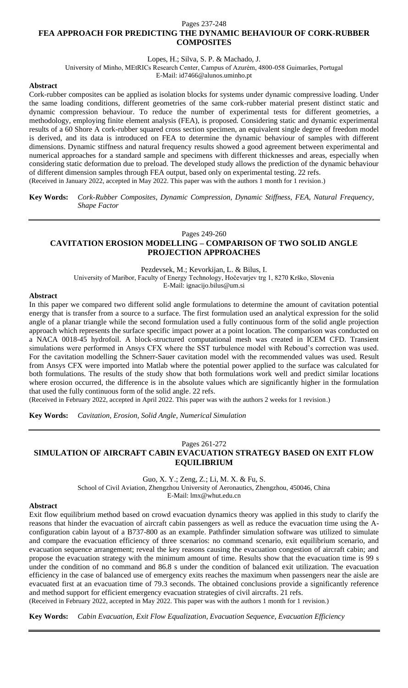### Pages 237-248 **FEA APPROACH FOR PREDICTING THE DYNAMIC BEHAVIOUR OF CORK-RUBBER COMPOSITES**

Lopes, H.; Silva, S. P. & Machado, J.

University of Minho, MEtRICs Research Center, Campus of Azurém, 4800-058 Guimarães, Portugal

E-Mail: id7466@alunos.uminho.pt

## **Abstract**

Cork-rubber composites can be applied as isolation blocks for systems under dynamic compressive loading. Under the same loading conditions, different geometries of the same cork-rubber material present distinct static and dynamic compression behaviour. To reduce the number of experimental tests for different geometries, a methodology, employing finite element analysis (FEA), is proposed. Considering static and dynamic experimental results of a 60 Shore A cork-rubber squared cross section specimen, an equivalent single degree of freedom model is derived, and its data is introduced on FEA to determine the dynamic behaviour of samples with different dimensions. Dynamic stiffness and natural frequency results showed a good agreement between experimental and numerical approaches for a standard sample and specimens with different thicknesses and areas, especially when considering static deformation due to preload. The developed study allows the prediction of the dynamic behaviour of different dimension samples through FEA output, based only on experimental testing. 22 refs. (Received in January 2022, accepted in May 2022. This paper was with the authors 1 month for 1 revision.)

**Key Words:** *Cork-Rubber Composites, Dynamic Compression, Dynamic Stiffness, FEA, Natural Frequency, Shape Factor*

## Pages 249-260 **CAVITATION EROSION MODELLING – COMPARISON OF TWO SOLID ANGLE PROJECTION APPROACHES**

Pezdevsek, M.; Kevorkijan, L. & Bilus, I. University of Maribor, Faculty of Energy Technology, Hočevarjev trg 1, 8270 Krško, Slovenia E-Mail: ignacijo.bilus@um.si

## **Abstract**

In this paper we compared two different solid angle formulations to determine the amount of cavitation potential energy that is transfer from a source to a surface. The first formulation used an analytical expression for the solid angle of a planar triangle while the second formulation used a fully continuous form of the solid angle projection approach which represents the surface specific impact power at a point location. The comparison was conducted on a NACA 0018-45 hydrofoil. A block-structured computational mesh was created in ICEM CFD. Transient simulations were performed in Ansys CFX where the SST turbulence model with Reboud's correction was used. For the cavitation modelling the Schnerr-Sauer cavitation model with the recommended values was used. Result from Ansys CFX were imported into Matlab where the potential power applied to the surface was calculated for both formulations. The results of the study show that both formulations work well and predict similar locations where erosion occurred, the difference is in the absolute values which are significantly higher in the formulation that used the fully continuous form of the solid angle. 22 refs.

(Received in February 2022, accepted in April 2022. This paper was with the authors 2 weeks for 1 revision.)

**Key Words:** *Cavitation, Erosion, Solid Angle, Numerical Simulation*

## Pages 261-272 **SIMULATION OF AIRCRAFT CABIN EVACUATION STRATEGY BASED ON EXIT FLOW EQUILIBRIUM**

Guo, X. Y.; Zeng, Z.; Li, M. X. & Fu, S.

School of Civil Aviation, Zhengzhou University of Aeronautics, Zhengzhou, 450046, China

E-Mail: lmx@whut.edu.cn

## **Abstract**

Exit flow equilibrium method based on crowd evacuation dynamics theory was applied in this study to clarify the reasons that hinder the evacuation of aircraft cabin passengers as well as reduce the evacuation time using the Aconfiguration cabin layout of a B737-800 as an example. Pathfinder simulation software was utilized to simulate and compare the evacuation efficiency of three scenarios: no command scenario, exit equilibrium scenario, and evacuation sequence arrangement; reveal the key reasons causing the evacuation congestion of aircraft cabin; and propose the evacuation strategy with the minimum amount of time. Results show that the evacuation time is 99 s under the condition of no command and 86.8 s under the condition of balanced exit utilization. The evacuation efficiency in the case of balanced use of emergency exits reaches the maximum when passengers near the aisle are evacuated first at an evacuation time of 79.3 seconds. The obtained conclusions provide a significantly reference and method support for efficient emergency evacuation strategies of civil aircrafts. 21 refs.

(Received in February 2022, accepted in May 2022. This paper was with the authors 1 month for 1 revision.)

**Key Words:** *Cabin Evacuation, Exit Flow Equalization, Evacuation Sequence, Evacuation Efficiency*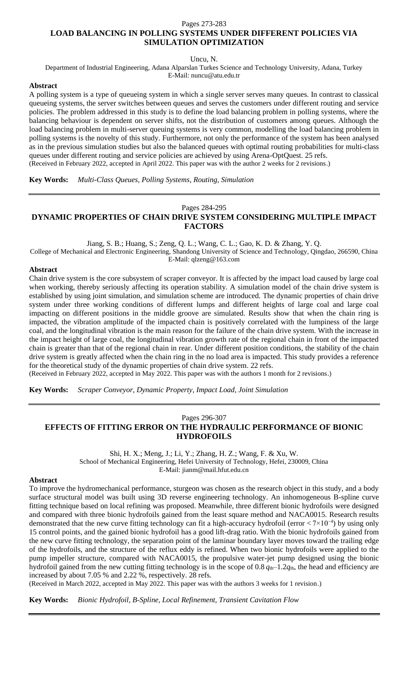#### Pages 273-283

## **LOAD BALANCING IN POLLING SYSTEMS UNDER DIFFERENT POLICIES VIA SIMULATION OPTIMIZATION**

Uncu, N.

Department of Industrial Engineering, Adana Alparslan Turkes Science and Technology University, Adana, Turkey E-Mail: nuncu@atu.edu.tr

### **Abstract**

A polling system is a type of queueing system in which a single server serves many queues. In contrast to classical queueing systems, the server switches between queues and serves the customers under different routing and service policies. The problem addressed in this study is to define the load balancing problem in polling systems, where the balancing behaviour is dependent on server shifts, not the distribution of customers among queues. Although the load balancing problem in multi-server queuing systems is very common, modelling the load balancing problem in polling systems is the novelty of this study. Furthermore, not only the performance of the system has been analysed as in the previous simulation studies but also the balanced queues with optimal routing probabilities for multi-class queues under different routing and service policies are achieved by using Arena-OptQuest. 25 refs. (Received in February 2022, accepted in April 2022. This paper was with the author 2 weeks for 2 revisions.)

**Key Words:** *Multi-Class Queues, Polling Systems, Routing, Simulation*

#### Pages 284-295

## **DYNAMIC PROPERTIES OF CHAIN DRIVE SYSTEM CONSIDERING MULTIPLE IMPACT FACTORS**

Jiang, S. B.; Huang, S.; Zeng, Q. L.; Wang, C. L.; Gao, K. D. & Zhang, Y. Q.

College of Mechanical and Electronic Engineering, Shandong University of Science and Technology, Qingdao, 266590, China E-Mail: qlzeng@163.com

#### **Abstract**

Chain drive system is the core subsystem of scraper conveyor. It is affected by the impact load caused by large coal when working, thereby seriously affecting its operation stability. A simulation model of the chain drive system is established by using joint simulation, and simulation scheme are introduced. The dynamic properties of chain drive system under three working conditions of different lumps and different heights of large coal and large coal impacting on different positions in the middle groove are simulated. Results show that when the chain ring is impacted, the vibration amplitude of the impacted chain is positively correlated with the lumpiness of the large coal, and the longitudinal vibration is the main reason for the failure of the chain drive system. With the increase in the impact height of large coal, the longitudinal vibration growth rate of the regional chain in front of the impacted chain is greater than that of the regional chain in rear. Under different position conditions, the stability of the chain drive system is greatly affected when the chain ring in the no load area is impacted. This study provides a reference for the theoretical study of the dynamic properties of chain drive system. 22 refs.

(Received in February 2022, accepted in May 2022. This paper was with the authors 1 month for 2 revisions.)

**Key Words:** *Scraper Conveyor, Dynamic Property, Impact Load, Joint Simulation*

## Pages 296-307 **EFFECTS OF FITTING ERROR ON THE HYDRAULIC PERFORMANCE OF BIONIC HYDROFOILS**

Shi, H. X.; Meng, J.; Li, Y.; Zhang, H. Z.; Wang, F. & Xu, W. School of Mechanical Engineering, Hefei University of Technology, Hefei, 230009, China E-Mail: jianm@mail.hfut.edu.cn

#### **Abstract**

To improve the hydromechanical performance, sturgeon was chosen as the research object in this study, and a body surface structural model was built using 3D reverse engineering technology. An inhomogeneous B-spline curve fitting technique based on local refining was proposed. Meanwhile, three different bionic hydrofoils were designed and compared with three bionic hydrofoils gained from the least square method and NACA0015. Research results demonstrated that the new curve fitting technology can fit a high-accuracy hydrofoil (error < 7×10−4) by using only 15 control points, and the gained bionic hydrofoil has a good lift-drag ratio. With the bionic hydrofoils gained from the new curve fitting technology, the separation point of the laminar boundary layer moves toward the trailing edge of the hydrofoils, and the structure of the reflux eddy is refined. When two bionic hydrofoils were applied to the pump impeller structure, compared with NACA0015, the propulsive water-jet pump designed using the bionic hydrofoil gained from the new cutting fitting technology is in the scope of 0.8  $q_{th}$ –1.2 $q_{th}$ , the head and efficiency are increased by about 7.05 % and 2.22 %, respectively. 28 refs.

(Received in March 2022, accepted in May 2022. This paper was with the authors 3 weeks for 1 revision.)

**Key Words:** *Bionic Hydrofoil, B-Spline, Local Refinement, Transient Cavitation Flow*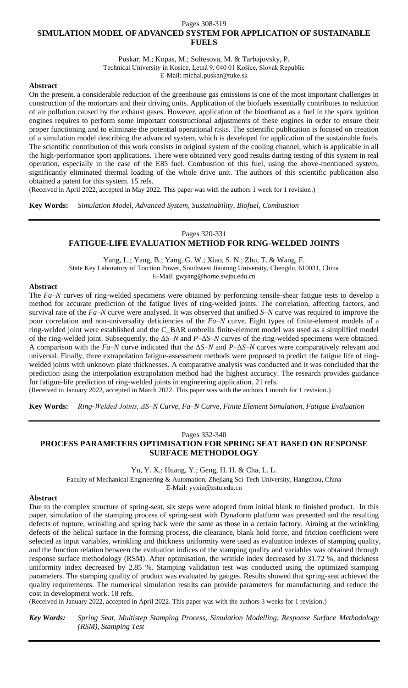## Pages 308-319 **SIMULATION MODEL OF ADVANCED SYSTEM FOR APPLICATION OF SUSTAINABLE FUELS**

Puskar, M.; Kopas, M.; Soltesova, M. & Tarbajovsky, P. Technical University in Kosice, Letná 9, 040 01 Košice, Slovak Republic E-Mail: michal.puskar@tuke.sk

## **Abstract**

On the present, a considerable reduction of the greenhouse gas emissions is one of the most important challenges in construction of the motorcars and their driving units. Application of the biofuels essentially contributes to reduction of air pollution caused by the exhaust gases. However, application of the bioethanol as a fuel in the spark ignition engines requires to perform some important constructional adjustments of these engines in order to ensure their proper functioning and to eliminate the potential operational risks. The scientific publication is focused on creation of a simulation model describing the advanced system, which is developed for application of the sustainable fuels. The scientific contribution of this work consists in original system of the cooling channel, which is applicable in all the high-performance sport applications. There were obtained very good results during testing of this system in real operation, especially in the case of the E85 fuel. Combustion of this fuel, using the above-mentioned system, significantly eliminated thermal loading of the whole drive unit. The authors of this scientific publication also obtained a patent for this system. 15 refs.

(Received in April 2022, accepted in May 2022. This paper was with the authors 1 week for 1 revision.)

**Key Words:** *Simulation Model, Advanced System, Sustainability, Biofuel, Combustion*

## Pages 320-331

## **FATIGUE-LIFE EVALUATION METHOD FOR RING-WELDED JOINTS**

Yang, L.; Yang, B.; Yang, G. W.; Xiao, S. N.; Zhu, T. & Wang, F.

State Key Laboratory of Traction Power, Southwest Jiaotong University, Chengdu, 610031, China

E-Mail: gwyang@home.swjtu.edu.cn

## **Abstract**

The *Fa*–*N* curves of ring-welded specimens were obtained by performing tensile-shear fatigue tests to develop a method for accurate prediction of the fatigue lives of ring-welded joints. The correlation, affecting factors, and survival rate of the *Fa–N* curve were analysed. It was observed that unified *S–N* curve was required to improve the poor correlation and non-universality deficiencies of the *Fa–N* curve. Eight types of finite-element models of a ring-welded joint were established and the C\_BAR umbrella finite-element model was used as a simplified model of the ring-welded joint. Subsequently, the Δ*S*–*N* and *P*–Δ*S*–*N* curves of the ring-welded specimens were obtained. A comparison with the *Fa–N* curve indicated that the Δ*S*–*N* and *P*–Δ*S*–*N* curves were comparatively relevant and universal. Finally, three extrapolation fatigue-assessment methods were proposed to predict the fatigue life of ringwelded joints with unknown plate thicknesses. A comparative analysis was conducted and it was concluded that the prediction using the interpolation extrapolation method had the highest accuracy. The research provides guidance for fatigue-life prediction of ring-welded joints in engineering application. 21 refs.

(Received in January 2022, accepted in March 2022. This paper was with the authors 1 month for 1 revision.)

**Key Words:** *Ring-Welded Joints, ΔS–N Curve, Fa–N Curve, Finite Element Simulation, Fatigue Evaluation*

## Pages 332-340

# **PROCESS PARAMETERS OPTIMISATION FOR SPRING SEAT BASED ON RESPONSE SURFACE METHODOLOGY**

Yu, Y. X.; Huang, Y.; Geng, H. H. & Cha, L. L.

Faculty of Mechanical Engineering & Automation, Zhejiang Sci-Tech University, Hangzhou, China

E-Mail: yyxin@zstu.edu.cn

#### **Abstract**

Due to the complex structure of spring-seat, six steps were adopted from initial blank to finished product. In this paper, simulation of the stamping process of spring-seat with Dynaform platform was presented and the resulting defects of rupture, wrinkling and spring back were the same as those in a certain factory. Aiming at the wrinkling defects of the helical surface in the forming process, die clearance, blank hold force, and friction coefficient were selected as input variables, wrinkling and thickness uniformity were used as evaluation indexes of stamping quality, and the function relation between the evaluation indices of the stamping quality and variables was obtained through response surface methodology (RSM). After optimisation, the wrinkle index decreased by 31.72 %, and thickness uniformity index decreased by 2.85 %. Stamping validation test was conducted using the optimized stamping parameters. The stamping quality of product was evaluated by gauges. Results showed that spring-seat achieved the quality requirements. The numerical simulation results can provide parameters for manufacturing and reduce the cost in development work. 18 refs.

(Received in January 2022, accepted in April 2022. This paper was with the authors 3 weeks for 1 revision.)

*Key Words: Spring Seat, Multistep Stamping Process, Simulation Modelling, Response Surface Methodology (RSM), Stamping Test*